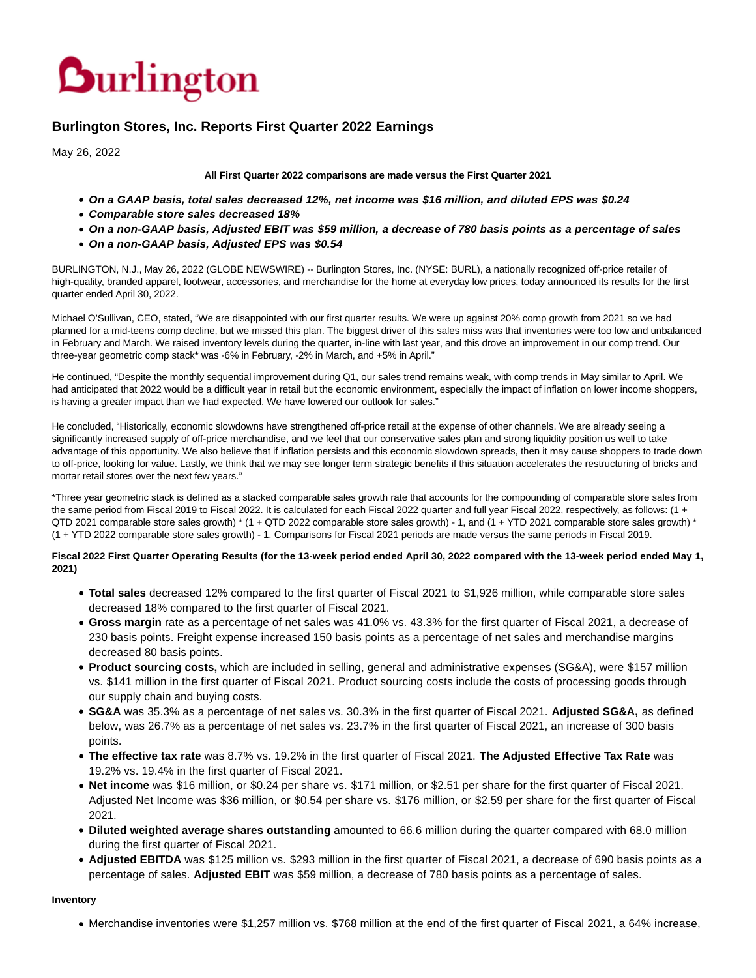

# **Burlington Stores, Inc. Reports First Quarter 2022 Earnings**

May 26, 2022

#### **All First Quarter 2022 comparisons are made versus the First Quarter 2021**

- **On a GAAP basis, total sales decreased 12%, net income was \$16 million, and diluted EPS was \$0.24**
- **Comparable store sales decreased 18%**
- **On a non-GAAP basis, Adjusted EBIT was \$59 million, a decrease of 780 basis points as a percentage of sales**
- **On a non-GAAP basis, Adjusted EPS was \$0.54**

BURLINGTON, N.J., May 26, 2022 (GLOBE NEWSWIRE) -- Burlington Stores, Inc. (NYSE: BURL), a nationally recognized off-price retailer of high-quality, branded apparel, footwear, accessories, and merchandise for the home at everyday low prices, today announced its results for the first quarter ended April 30, 2022.

Michael O'Sullivan, CEO, stated, "We are disappointed with our first quarter results. We were up against 20% comp growth from 2021 so we had planned for a mid-teens comp decline, but we missed this plan. The biggest driver of this sales miss was that inventories were too low and unbalanced in February and March. We raised inventory levels during the quarter, in-line with last year, and this drove an improvement in our comp trend. Our three-year geometric comp stack**\*** was -6% in February, -2% in March, and +5% in April."

He continued, "Despite the monthly sequential improvement during Q1, our sales trend remains weak, with comp trends in May similar to April. We had anticipated that 2022 would be a difficult year in retail but the economic environment, especially the impact of inflation on lower income shoppers, is having a greater impact than we had expected. We have lowered our outlook for sales."

He concluded, "Historically, economic slowdowns have strengthened off-price retail at the expense of other channels. We are already seeing a significantly increased supply of off-price merchandise, and we feel that our conservative sales plan and strong liquidity position us well to take advantage of this opportunity. We also believe that if inflation persists and this economic slowdown spreads, then it may cause shoppers to trade down to off-price, looking for value. Lastly, we think that we may see longer term strategic benefits if this situation accelerates the restructuring of bricks and mortar retail stores over the next few years."

\*Three year geometric stack is defined as a stacked comparable sales growth rate that accounts for the compounding of comparable store sales from the same period from Fiscal 2019 to Fiscal 2022. It is calculated for each Fiscal 2022 quarter and full year Fiscal 2022, respectively, as follows: (1 + QTD 2021 comparable store sales growth) \* (1 + QTD 2022 comparable store sales growth) - 1, and (1 + YTD 2021 comparable store sales growth) \* (1 + YTD 2022 comparable store sales growth) - 1. Comparisons for Fiscal 2021 periods are made versus the same periods in Fiscal 2019.

## **Fiscal 2022 First Quarter Operating Results (for the 13-week period ended April 30, 2022 compared with the 13-week period ended May 1, 2021)**

- **Total sales** decreased 12% compared to the first quarter of Fiscal 2021 to \$1,926 million, while comparable store sales decreased 18% compared to the first quarter of Fiscal 2021.
- **Gross margin** rate as a percentage of net sales was 41.0% vs. 43.3% for the first quarter of Fiscal 2021, a decrease of 230 basis points. Freight expense increased 150 basis points as a percentage of net sales and merchandise margins decreased 80 basis points.
- **Product sourcing costs,** which are included in selling, general and administrative expenses (SG&A), were \$157 million vs. \$141 million in the first quarter of Fiscal 2021. Product sourcing costs include the costs of processing goods through our supply chain and buying costs.
- **SG&A** was 35.3% as a percentage of net sales vs. 30.3% in the first quarter of Fiscal 2021. **Adjusted SG&A,** as defined below, was 26.7% as a percentage of net sales vs. 23.7% in the first quarter of Fiscal 2021, an increase of 300 basis points.
- **The effective tax rate** was 8.7% vs. 19.2% in the first quarter of Fiscal 2021. **The Adjusted Effective Tax Rate** was 19.2% vs. 19.4% in the first quarter of Fiscal 2021.
- **Net income** was \$16 million, or \$0.24 per share vs. \$171 million, or \$2.51 per share for the first quarter of Fiscal 2021. Adjusted Net Income was \$36 million, or \$0.54 per share vs. \$176 million, or \$2.59 per share for the first quarter of Fiscal 2021.
- **Diluted weighted average shares outstanding** amounted to 66.6 million during the quarter compared with 68.0 million during the first quarter of Fiscal 2021.
- **Adjusted EBITDA** was \$125 million vs. \$293 million in the first quarter of Fiscal 2021, a decrease of 690 basis points as a percentage of sales. **Adjusted EBIT** was \$59 million, a decrease of 780 basis points as a percentage of sales.

#### **Inventory**

Merchandise inventories were \$1,257 million vs. \$768 million at the end of the first quarter of Fiscal 2021, a 64% increase,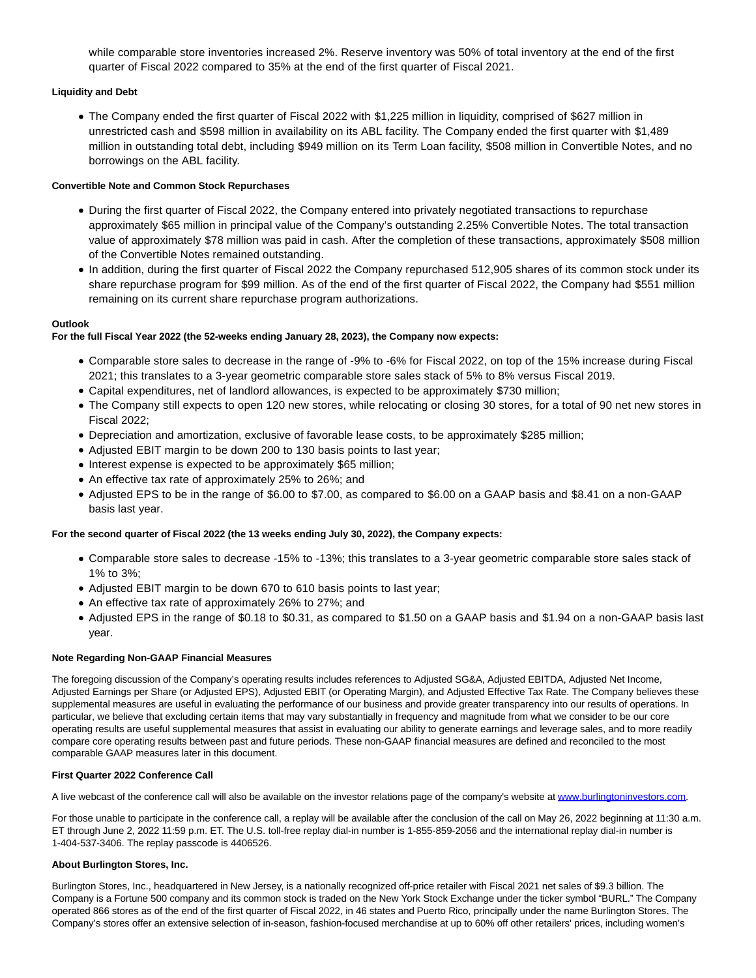while comparable store inventories increased 2%. Reserve inventory was 50% of total inventory at the end of the first quarter of Fiscal 2022 compared to 35% at the end of the first quarter of Fiscal 2021.

# **Liquidity and Debt**

The Company ended the first quarter of Fiscal 2022 with \$1,225 million in liquidity, comprised of \$627 million in unrestricted cash and \$598 million in availability on its ABL facility. The Company ended the first quarter with \$1,489 million in outstanding total debt, including \$949 million on its Term Loan facility, \$508 million in Convertible Notes, and no borrowings on the ABL facility.

## **Convertible Note and Common Stock Repurchases**

- During the first quarter of Fiscal 2022, the Company entered into privately negotiated transactions to repurchase approximately \$65 million in principal value of the Company's outstanding 2.25% Convertible Notes. The total transaction value of approximately \$78 million was paid in cash. After the completion of these transactions, approximately \$508 million of the Convertible Notes remained outstanding.
- In addition, during the first quarter of Fiscal 2022 the Company repurchased 512,905 shares of its common stock under its share repurchase program for \$99 million. As of the end of the first quarter of Fiscal 2022, the Company had \$551 million remaining on its current share repurchase program authorizations.

## **Outlook**

## **For the full Fiscal Year 2022 (the 52-weeks ending January 28, 2023), the Company now expects:**

- Comparable store sales to decrease in the range of -9% to -6% for Fiscal 2022, on top of the 15% increase during Fiscal 2021; this translates to a 3-year geometric comparable store sales stack of 5% to 8% versus Fiscal 2019.
- Capital expenditures, net of landlord allowances, is expected to be approximately \$730 million;
- The Company still expects to open 120 new stores, while relocating or closing 30 stores, for a total of 90 net new stores in Fiscal 2022;
- Depreciation and amortization, exclusive of favorable lease costs, to be approximately \$285 million;
- Adjusted EBIT margin to be down 200 to 130 basis points to last year;
- Interest expense is expected to be approximately \$65 million;
- An effective tax rate of approximately 25% to 26%; and
- Adjusted EPS to be in the range of \$6.00 to \$7.00, as compared to \$6.00 on a GAAP basis and \$8.41 on a non-GAAP basis last year.

#### **For the second quarter of Fiscal 2022 (the 13 weeks ending July 30, 2022), the Company expects:**

- Comparable store sales to decrease -15% to -13%; this translates to a 3-year geometric comparable store sales stack of 1% to 3%;
- Adjusted EBIT margin to be down 670 to 610 basis points to last year;
- An effective tax rate of approximately 26% to 27%; and
- Adjusted EPS in the range of \$0.18 to \$0.31, as compared to \$1.50 on a GAAP basis and \$1.94 on a non-GAAP basis last year.

#### **Note Regarding Non-GAAP Financial Measures**

The foregoing discussion of the Company's operating results includes references to Adjusted SG&A, Adjusted EBITDA, Adjusted Net Income, Adjusted Earnings per Share (or Adjusted EPS), Adjusted EBIT (or Operating Margin), and Adjusted Effective Tax Rate. The Company believes these supplemental measures are useful in evaluating the performance of our business and provide greater transparency into our results of operations. In particular, we believe that excluding certain items that may vary substantially in frequency and magnitude from what we consider to be our core operating results are useful supplemental measures that assist in evaluating our ability to generate earnings and leverage sales, and to more readily compare core operating results between past and future periods. These non-GAAP financial measures are defined and reconciled to the most comparable GAAP measures later in this document.

#### **First Quarter 2022 Conference Call**

A live webcast of the conference call will also be available on the investor relations page of the company's website a[t www.burlingtoninvestors.com.](https://www.globenewswire.com/Tracker?data=dTFNgKF0C6o_um02dGcq4FeLJslDGa2voecJLi2uIHyUMsmNA9bg76xY1igJ8aUun1CXRP-P5GDLTaS_IZMvEOLuoZUyytqEd9jkiTORZuqzG6NhXbhugMw3dYV5lxBv)

For those unable to participate in the conference call, a replay will be available after the conclusion of the call on May 26, 2022 beginning at 11:30 a.m. ET through June 2, 2022 11:59 p.m. ET. The U.S. toll-free replay dial-in number is 1-855-859-2056 and the international replay dial-in number is 1-404-537-3406. The replay passcode is 4406526.

#### **About Burlington Stores, Inc.**

Burlington Stores, Inc., headquartered in New Jersey, is a nationally recognized off-price retailer with Fiscal 2021 net sales of \$9.3 billion. The Company is a Fortune 500 company and its common stock is traded on the New York Stock Exchange under the ticker symbol "BURL." The Company operated 866 stores as of the end of the first quarter of Fiscal 2022, in 46 states and Puerto Rico, principally under the name Burlington Stores. The Company's stores offer an extensive selection of in-season, fashion-focused merchandise at up to 60% off other retailers' prices, including women's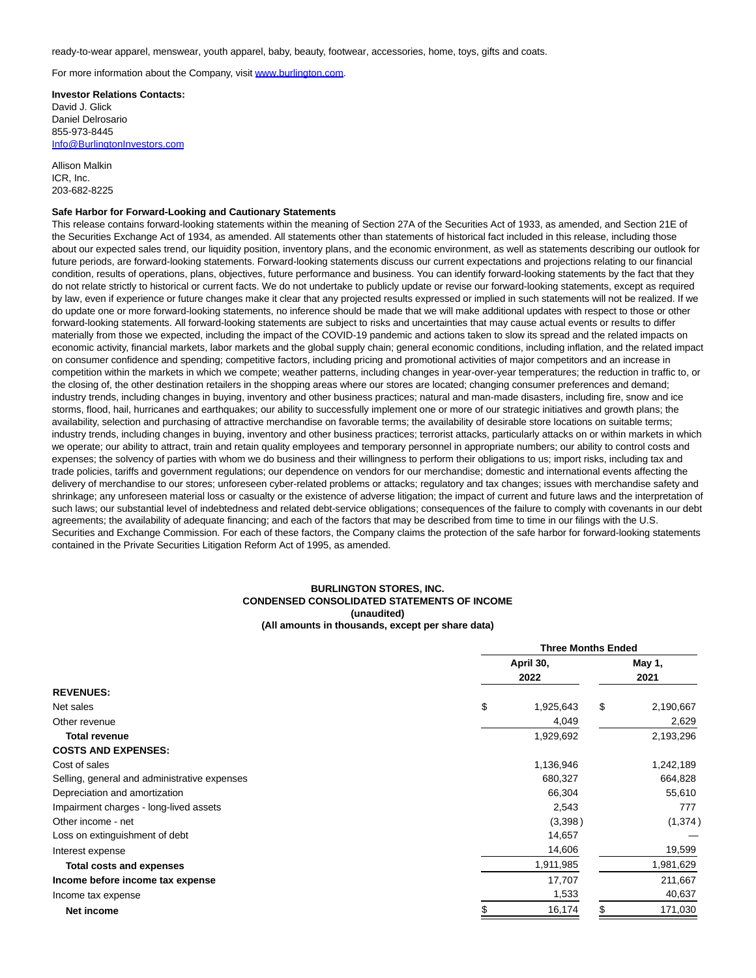ready-to-wear apparel, menswear, youth apparel, baby, beauty, footwear, accessories, home, toys, gifts and coats.

For more information about the Company, visit [www.burlington.com.](http://www.burlington.com/)

**Investor Relations Contacts:** David J. Glick Daniel Delrosario 855-973-8445 [Info@BurlingtonInvestors.com](mailto:Info@BurlingtonInvestors.com)

Allison Malkin ICR, Inc. 203-682-8225

#### **Safe Harbor for Forward-Looking and Cautionary Statements**

This release contains forward-looking statements within the meaning of Section 27A of the Securities Act of 1933, as amended, and Section 21E of the Securities Exchange Act of 1934, as amended. All statements other than statements of historical fact included in this release, including those about our expected sales trend, our liquidity position, inventory plans, and the economic environment, as well as statements describing our outlook for future periods, are forward-looking statements. Forward-looking statements discuss our current expectations and projections relating to our financial condition, results of operations, plans, objectives, future performance and business. You can identify forward-looking statements by the fact that they do not relate strictly to historical or current facts. We do not undertake to publicly update or revise our forward-looking statements, except as required by law, even if experience or future changes make it clear that any projected results expressed or implied in such statements will not be realized. If we do update one or more forward-looking statements, no inference should be made that we will make additional updates with respect to those or other forward-looking statements. All forward-looking statements are subject to risks and uncertainties that may cause actual events or results to differ materially from those we expected, including the impact of the COVID-19 pandemic and actions taken to slow its spread and the related impacts on economic activity, financial markets, labor markets and the global supply chain; general economic conditions, including inflation, and the related impact on consumer confidence and spending; competitive factors, including pricing and promotional activities of major competitors and an increase in competition within the markets in which we compete; weather patterns, including changes in year-over-year temperatures; the reduction in traffic to, or the closing of, the other destination retailers in the shopping areas where our stores are located; changing consumer preferences and demand; industry trends, including changes in buying, inventory and other business practices; natural and man-made disasters, including fire, snow and ice storms, flood, hail, hurricanes and earthquakes; our ability to successfully implement one or more of our strategic initiatives and growth plans; the availability, selection and purchasing of attractive merchandise on favorable terms; the availability of desirable store locations on suitable terms; industry trends, including changes in buying, inventory and other business practices; terrorist attacks, particularly attacks on or within markets in which we operate; our ability to attract, train and retain quality employees and temporary personnel in appropriate numbers; our ability to control costs and expenses; the solvency of parties with whom we do business and their willingness to perform their obligations to us; import risks, including tax and trade policies, tariffs and government regulations; our dependence on vendors for our merchandise; domestic and international events affecting the delivery of merchandise to our stores; unforeseen cyber-related problems or attacks; regulatory and tax changes; issues with merchandise safety and shrinkage; any unforeseen material loss or casualty or the existence of adverse litigation; the impact of current and future laws and the interpretation of such laws; our substantial level of indebtedness and related debt-service obligations; consequences of the failure to comply with covenants in our debt agreements; the availability of adequate financing; and each of the factors that may be described from time to time in our filings with the U.S. Securities and Exchange Commission. For each of these factors, the Company claims the protection of the safe harbor for forward-looking statements contained in the Private Securities Litigation Reform Act of 1995, as amended.

#### **BURLINGTON STORES, INC. CONDENSED CONSOLIDATED STATEMENTS OF INCOME (unaudited) (All amounts in thousands, except per share data)**

|                                              |    | <b>Three Months Ended</b> |    |           |  |
|----------------------------------------------|----|---------------------------|----|-----------|--|
|                                              |    | April 30,<br>2022         |    | May 1,    |  |
|                                              |    |                           |    | 2021      |  |
| <b>REVENUES:</b>                             |    |                           |    |           |  |
| Net sales                                    | \$ | 1,925,643                 | \$ | 2,190,667 |  |
| Other revenue                                |    | 4,049                     |    | 2,629     |  |
| <b>Total revenue</b>                         |    | 1,929,692                 |    | 2,193,296 |  |
| <b>COSTS AND EXPENSES:</b>                   |    |                           |    |           |  |
| Cost of sales                                |    | 1,136,946                 |    | 1,242,189 |  |
| Selling, general and administrative expenses |    | 680,327                   |    | 664,828   |  |
| Depreciation and amortization                |    | 66,304                    |    | 55,610    |  |
| Impairment charges - long-lived assets       |    | 2,543                     |    | 777       |  |
| Other income - net                           |    | (3,398)                   |    | (1, 374)  |  |
| Loss on extinguishment of debt               |    | 14,657                    |    |           |  |
| Interest expense                             |    | 14,606                    |    | 19,599    |  |
| <b>Total costs and expenses</b>              |    | 1,911,985                 |    | 1,981,629 |  |
| Income before income tax expense             |    | 17,707                    |    | 211,667   |  |
| Income tax expense                           |    | 1,533                     |    | 40,637    |  |
| Net income                                   |    | 16,174                    | \$ | 171,030   |  |
|                                              |    |                           |    |           |  |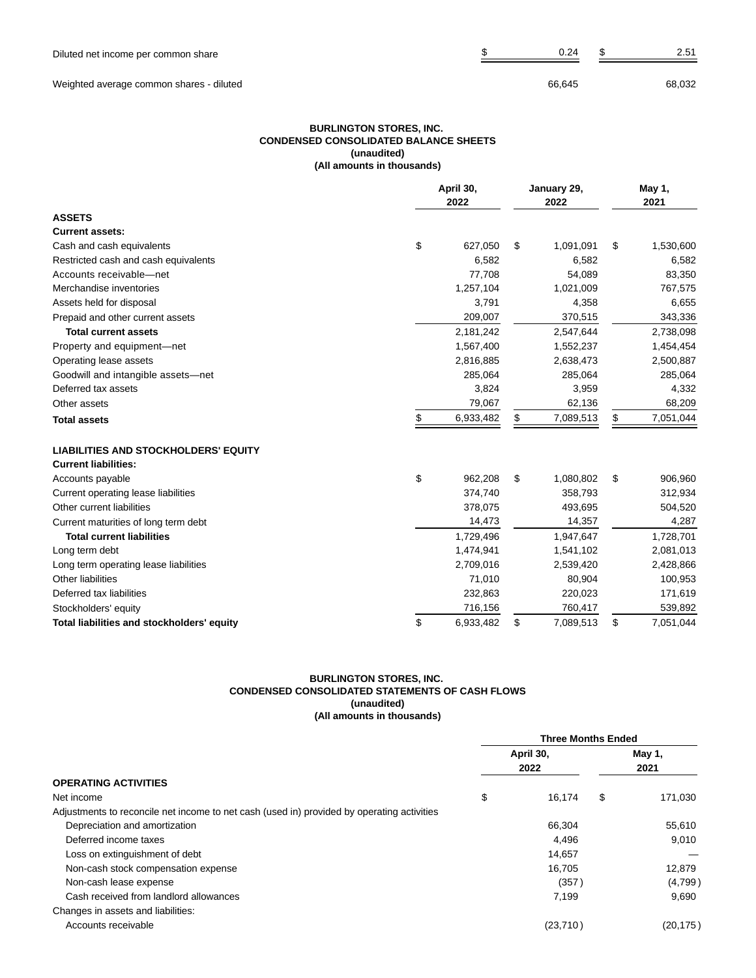Weighted average common shares - diluted 68,032

#### **BURLINGTON STORES, INC. CONDENSED CONSOLIDATED BALANCE SHEETS (unaudited) (All amounts in thousands)**

|                                             | April 30,<br>2022 | January 29,<br>2022 | May 1,<br>2021  |
|---------------------------------------------|-------------------|---------------------|-----------------|
| <b>ASSETS</b>                               |                   |                     |                 |
| <b>Current assets:</b>                      |                   |                     |                 |
| Cash and cash equivalents                   | \$<br>627,050     | \$<br>1,091,091     | \$<br>1,530,600 |
| Restricted cash and cash equivalents        | 6,582             | 6,582               | 6,582           |
| Accounts receivable-net                     | 77,708            | 54,089              | 83,350          |
| Merchandise inventories                     | 1,257,104         | 1,021,009           | 767,575         |
| Assets held for disposal                    | 3,791             | 4,358               | 6,655           |
| Prepaid and other current assets            | 209,007           | 370,515             | 343,336         |
| <b>Total current assets</b>                 | 2,181,242         | 2,547,644           | 2,738,098       |
| Property and equipment-net                  | 1,567,400         | 1,552,237           | 1,454,454       |
| Operating lease assets                      | 2,816,885         | 2,638,473           | 2,500,887       |
| Goodwill and intangible assets-net          | 285,064           | 285,064             | 285,064         |
| Deferred tax assets                         | 3,824             | 3,959               | 4,332           |
| Other assets                                | 79,067            | 62,136              | 68,209          |
| <b>Total assets</b>                         | \$<br>6,933,482   | \$<br>7,089,513     | \$<br>7,051,044 |
| <b>LIABILITIES AND STOCKHOLDERS' EQUITY</b> |                   |                     |                 |
| <b>Current liabilities:</b>                 |                   |                     |                 |
| Accounts payable                            | \$<br>962,208     | \$<br>1,080,802     | \$<br>906,960   |
| Current operating lease liabilities         | 374,740           | 358,793             | 312,934         |
| Other current liabilities                   | 378,075           | 493,695             | 504,520         |
| Current maturities of long term debt        | 14,473            | 14,357              | 4,287           |
| <b>Total current liabilities</b>            | 1,729,496         | 1,947,647           | 1,728,701       |
| Long term debt                              | 1,474,941         | 1,541,102           | 2,081,013       |
| Long term operating lease liabilities       | 2,709,016         | 2,539,420           | 2,428,866       |
| Other liabilities                           | 71,010            | 80,904              | 100,953         |
| Deferred tax liabilities                    | 232,863           | 220,023             | 171,619         |
| Stockholders' equity                        | 716,156           | 760,417             | 539,892         |
| Total liabilities and stockholders' equity  | \$<br>6,933,482   | \$<br>7,089,513     | \$<br>7,051,044 |

#### **BURLINGTON STORES, INC. CONDENSED CONSOLIDATED STATEMENTS OF CASH FLOWS (unaudited) (All amounts in thousands)**

|                                                                                            |           | <b>Three Months Ended</b> |        |           |  |
|--------------------------------------------------------------------------------------------|-----------|---------------------------|--------|-----------|--|
|                                                                                            | April 30, |                           | May 1, |           |  |
|                                                                                            |           | 2022                      |        | 2021      |  |
| <b>OPERATING ACTIVITIES</b>                                                                |           |                           |        |           |  |
| Net income                                                                                 | \$        | 16.174                    | \$     | 171,030   |  |
| Adjustments to reconcile net income to net cash (used in) provided by operating activities |           |                           |        |           |  |
| Depreciation and amortization                                                              |           | 66,304                    |        | 55,610    |  |
| Deferred income taxes                                                                      |           | 4,496                     |        | 9,010     |  |
| Loss on extinguishment of debt                                                             |           | 14,657                    |        |           |  |
| Non-cash stock compensation expense                                                        |           | 16.705                    |        | 12,879    |  |
| Non-cash lease expense                                                                     |           | (357)                     |        | (4,799)   |  |
| Cash received from landlord allowances                                                     |           | 7.199                     |        | 9.690     |  |
| Changes in assets and liabilities:                                                         |           |                           |        |           |  |
| Accounts receivable                                                                        |           | (23, 710)                 |        | (20, 175) |  |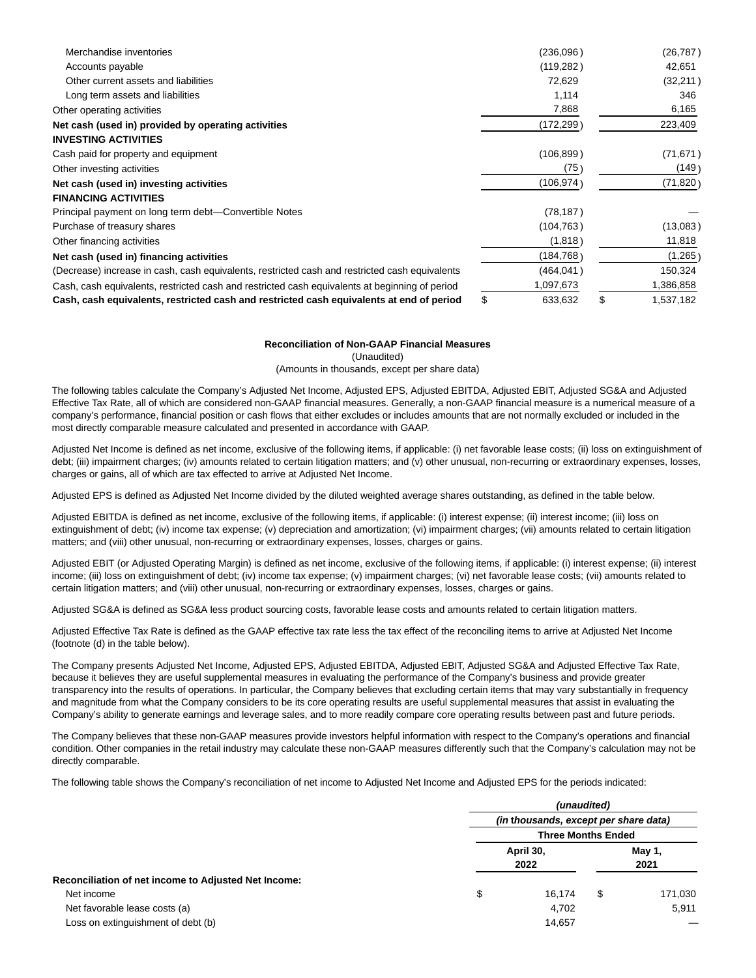| Merchandise inventories                                                                        | (236,096)     | (26, 787)       |
|------------------------------------------------------------------------------------------------|---------------|-----------------|
| Accounts payable                                                                               | (119, 282)    | 42,651          |
| Other current assets and liabilities                                                           | 72,629        | (32, 211)       |
| Long term assets and liabilities                                                               | 1,114         | 346             |
| Other operating activities                                                                     | 7,868         | 6,165           |
| Net cash (used in) provided by operating activities                                            | (172,299)     | 223,409         |
| <b>INVESTING ACTIVITIES</b>                                                                    |               |                 |
| Cash paid for property and equipment                                                           | (106, 899)    | (71, 671)       |
| Other investing activities                                                                     | (75)          | (149)           |
| Net cash (used in) investing activities                                                        | (106,974)     | (71, 820)       |
| <b>FINANCING ACTIVITIES</b>                                                                    |               |                 |
| Principal payment on long term debt—Convertible Notes                                          | (78, 187)     |                 |
| Purchase of treasury shares                                                                    | (104, 763)    | (13,083)        |
| Other financing activities                                                                     | (1,818)       | 11,818          |
| Net cash (used in) financing activities                                                        | (184,768)     | (1,265)         |
| (Decrease) increase in cash, cash equivalents, restricted cash and restricted cash equivalents | (464,041 )    | 150,324         |
| Cash, cash equivalents, restricted cash and restricted cash equivalents at beginning of period | 1,097,673     | 1,386,858       |
| Cash, cash equivalents, restricted cash and restricted cash equivalents at end of period       | \$<br>633,632 | \$<br>1,537,182 |

#### **Reconciliation of Non-GAAP Financial Measures**

(Unaudited)

(Amounts in thousands, except per share data)

The following tables calculate the Company's Adjusted Net Income, Adjusted EPS, Adjusted EBITDA, Adjusted EBIT, Adjusted SG&A and Adjusted Effective Tax Rate, all of which are considered non-GAAP financial measures. Generally, a non-GAAP financial measure is a numerical measure of a company's performance, financial position or cash flows that either excludes or includes amounts that are not normally excluded or included in the most directly comparable measure calculated and presented in accordance with GAAP.

Adjusted Net Income is defined as net income, exclusive of the following items, if applicable: (i) net favorable lease costs; (ii) loss on extinguishment of debt; (iii) impairment charges; (iv) amounts related to certain litigation matters; and (v) other unusual, non-recurring or extraordinary expenses, losses, charges or gains, all of which are tax effected to arrive at Adjusted Net Income.

Adjusted EPS is defined as Adjusted Net Income divided by the diluted weighted average shares outstanding, as defined in the table below.

Adjusted EBITDA is defined as net income, exclusive of the following items, if applicable: (i) interest expense; (ii) interest income; (iii) loss on extinguishment of debt; (iv) income tax expense; (v) depreciation and amortization; (vi) impairment charges; (vii) amounts related to certain litigation matters; and (viii) other unusual, non-recurring or extraordinary expenses, losses, charges or gains.

Adjusted EBIT (or Adjusted Operating Margin) is defined as net income, exclusive of the following items, if applicable: (i) interest expense; (ii) interest income; (iii) loss on extinguishment of debt; (iv) income tax expense; (v) impairment charges; (vi) net favorable lease costs; (vii) amounts related to certain litigation matters; and (viii) other unusual, non-recurring or extraordinary expenses, losses, charges or gains.

Adjusted SG&A is defined as SG&A less product sourcing costs, favorable lease costs and amounts related to certain litigation matters.

Adjusted Effective Tax Rate is defined as the GAAP effective tax rate less the tax effect of the reconciling items to arrive at Adjusted Net Income (footnote (d) in the table below).

The Company presents Adjusted Net Income, Adjusted EPS, Adjusted EBITDA, Adjusted EBIT, Adjusted SG&A and Adjusted Effective Tax Rate, because it believes they are useful supplemental measures in evaluating the performance of the Company's business and provide greater transparency into the results of operations. In particular, the Company believes that excluding certain items that may vary substantially in frequency and magnitude from what the Company considers to be its core operating results are useful supplemental measures that assist in evaluating the Company's ability to generate earnings and leverage sales, and to more readily compare core operating results between past and future periods.

The Company believes that these non-GAAP measures provide investors helpful information with respect to the Company's operations and financial condition. Other companies in the retail industry may calculate these non-GAAP measures differently such that the Company's calculation may not be directly comparable.

The following table shows the Company's reconciliation of net income to Adjusted Net Income and Adjusted EPS for the periods indicated:

|                                                      |    | (unaudited)<br>(in thousands, except per share data)<br><b>Three Months Ended</b> |   |                |  |
|------------------------------------------------------|----|-----------------------------------------------------------------------------------|---|----------------|--|
|                                                      |    |                                                                                   |   |                |  |
|                                                      |    |                                                                                   |   |                |  |
|                                                      |    | April 30,<br>2022                                                                 |   | May 1,<br>2021 |  |
| Reconciliation of net income to Adjusted Net Income: |    |                                                                                   |   |                |  |
| Net income                                           | \$ | 16.174                                                                            | S | 171,030        |  |
| Net favorable lease costs (a)                        |    | 4,702                                                                             |   | 5,911          |  |
| Loss on extinguishment of debt (b)                   |    | 14,657                                                                            |   |                |  |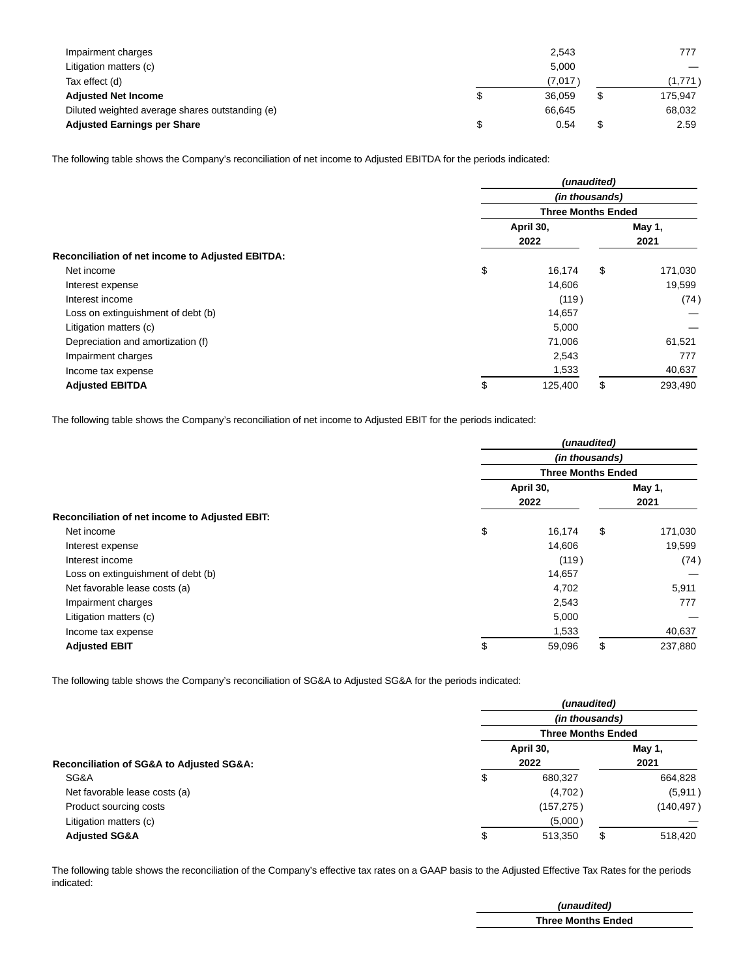| Impairment charges                              | 2,543   | 777     |
|-------------------------------------------------|---------|---------|
| Litigation matters (c)                          | 5.000   |         |
| Tax effect (d)                                  | (7,017) | (1.771) |
| <b>Adjusted Net Income</b>                      | 36.059  | 175.947 |
| Diluted weighted average shares outstanding (e) | 66.645  | 68,032  |
| <b>Adjusted Earnings per Share</b>              | 0.54    | 2.59    |

The following table shows the Company's reconciliation of net income to Adjusted EBITDA for the periods indicated:

|                                                  | (unaudited)               |           |    |         |
|--------------------------------------------------|---------------------------|-----------|----|---------|
|                                                  | (in thousands)            |           |    |         |
|                                                  | <b>Three Months Ended</b> |           |    |         |
|                                                  |                           | April 30, |    | May 1,  |
|                                                  |                           | 2022      |    | 2021    |
| Reconciliation of net income to Adjusted EBITDA: |                           |           |    |         |
| Net income                                       | \$                        | 16,174    | \$ | 171,030 |
| Interest expense                                 |                           | 14,606    |    | 19,599  |
| Interest income                                  |                           | (119)     |    | (74)    |
| Loss on extinguishment of debt (b)               |                           | 14,657    |    |         |
| Litigation matters (c)                           |                           | 5,000     |    |         |
| Depreciation and amortization (f)                |                           | 71,006    |    | 61,521  |
| Impairment charges                               |                           | 2,543     |    | 777     |
| Income tax expense                               |                           | 1,533     |    | 40,637  |
| <b>Adjusted EBITDA</b>                           | \$                        | 125,400   | \$ | 293,490 |

The following table shows the Company's reconciliation of net income to Adjusted EBIT for the periods indicated:

|                                                | (unaudited) |                                             |    |         |  |
|------------------------------------------------|-------------|---------------------------------------------|----|---------|--|
|                                                |             | (in thousands)<br><b>Three Months Ended</b> |    |         |  |
|                                                |             |                                             |    |         |  |
|                                                |             | April 30,                                   |    | May 1,  |  |
|                                                |             | 2022                                        |    | 2021    |  |
| Reconciliation of net income to Adjusted EBIT: |             |                                             |    |         |  |
| Net income                                     | \$          | 16,174                                      | \$ | 171,030 |  |
| Interest expense                               |             | 14,606                                      |    | 19,599  |  |
| Interest income                                |             | (119)                                       |    | (74)    |  |
| Loss on extinguishment of debt (b)             |             | 14,657                                      |    |         |  |
| Net favorable lease costs (a)                  |             | 4,702                                       |    | 5,911   |  |
| Impairment charges                             |             | 2,543                                       |    | 777     |  |
| Litigation matters (c)                         |             | 5,000                                       |    |         |  |
| Income tax expense                             |             | 1,533                                       |    | 40,637  |  |
| <b>Adjusted EBIT</b>                           | \$          | 59,096                                      | \$ | 237,880 |  |

The following table shows the Company's reconciliation of SG&A to Adjusted SG&A for the periods indicated:

|                                                         | (unaudited)    |                           |      |            |
|---------------------------------------------------------|----------------|---------------------------|------|------------|
|                                                         | (in thousands) |                           |      |            |
|                                                         |                | <b>Three Months Ended</b> |      |            |
|                                                         |                | April 30,                 |      | May 1,     |
| <b>Reconciliation of SG&amp;A to Adjusted SG&amp;A:</b> | 2022           |                           | 2021 |            |
| SG&A                                                    | \$             | 680,327                   |      | 664,828    |
| Net favorable lease costs (a)                           |                | (4,702)                   |      | (5, 911)   |
| Product sourcing costs                                  |                | (157, 275)                |      | (140, 497) |
| Litigation matters (c)                                  |                | (5,000)                   |      |            |
| <b>Adjusted SG&amp;A</b>                                | \$             | 513,350                   | \$   | 518,420    |

The following table shows the reconciliation of the Company's effective tax rates on a GAAP basis to the Adjusted Effective Tax Rates for the periods indicated:

| (unaudited)               |
|---------------------------|
| <b>Three Months Ended</b> |
|                           |